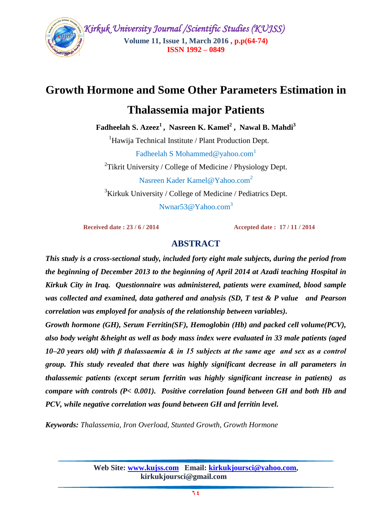

 *Kirkuk University Journal /Scientific Studies (KUJSS)*  **Volume 11, Issue 1, March 2016 , p.p(64-74) ISSN 1992 – 0849**

# **Growth Hormone and Some Other Parameters Estimation in**

# **Thalassemia major Patients**

**Fadheelah S. Azeez 1 , Nasreen K. Kamel<sup>2</sup> , Nawal B. Mahdi<sup>3</sup>**

<sup>1</sup>Hawija Technical Institute / Plant Production Dept.

Fadheelah S Mohammed@yahoo.com<sup>1</sup>

<sup>2</sup>Tikrit University / College of Medicine / Physiology Dept. Nasreen Kader Kamel@Yahoo.com<sup>2</sup> <sup>3</sup>Kirkuk University / College of Medicine / Pediatrics Dept.

Nwnar53@Yahoo.com<sup>3</sup>

 **Received date : 23 / 6 / 2014 Accepted date : 17 / 11 / 2014** 

# **ABSTRACT**

*This study is a cross-sectional study, included forty eight male subjects, during the period from the beginning of December 2013 to the beginning of April 2014 at Azadi teaching Hospital in Kirkuk City in Iraq. Questionnaire was administered, patients were examined, blood sample was collected and examined, data gathered and analysis (SD, T test & P value and Pearson correlation was employed for analysis of the relationship between variables).* 

*Growth hormone (GH), Serum Ferritin(SF), Hemoglobin (Hb) and packed cell volume(PCV), also body weight &height as well as body mass index were evaluated in 33 male patients (aged 10–20 years old) with β thalassaemia & in 15 subjects at the same age and sex as a control group. This study revealed that there was highly significant decrease in all parameters in thalassemic patients (except serum ferritin was highly significant increase in patients) as compare with controls (P< 0.001). Positive correlation found between GH and both Hb and PCV, while negative correlation was found between GH and ferritin level.* 

*Keywords: Thalassemia, Iron Overload, Stunted Growth, Growth Hormone*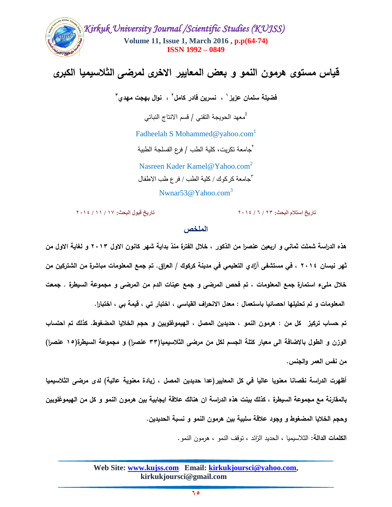

# **قياس مستوى هرمون النمو و بعض المعايير االخرى لمرضى الثالسيميا الكبرى**

فضيلة سلمان عزيز ' ، نسرين قادر كامل ' ، نوال بهجت مهدي ''

معهد الحويجة النقنى / قسم الانتاج النباتي $^1$ 

Fadheelah S Mohammed@yahoo.com<sup>1</sup>

<sup>7</sup>جامعة تكريت، كلية الطب / فرع الفسلجة الطبية

Nasreen Kader Kamel@Yahoo.com<sup>2</sup> 3 جامعة كركوك / كلية الطب / فرع طب االطفال

Nwnar53@Yahoo.com<sup>3</sup>

**تاريخ استالم البحث: 32 / 4 / 3106 تاريخ قبول البحث: 07 / 00 / 3106**

### **الملخص**

**هذه الدراسة شممت ثماني و اربعين عنصرا من الذكور , خالل الفترة منذ بداية شهر كانون االول 2113 و لغاية االول من ثهر نيسان 2114 , في مستشفى آزادي التعميمي في مدينة كركوك / العراق. تم جمع المعمومات مباشرة من الشتركين من خالل ممىء استمارة جمع المعمومات , تم فحص المرضى و جمع عينات الدم من المرضى و مجموعة السيطرة . جمعت المعمومات و تم تحميمها احصائيا باستعمال : معدل االنحراف القياسي , اختبار تي , قيمة بي , اختبارا.** 

**تم حساب تركيز كل من : هرمون النمو , حديدين المصل , الهيموغموبين و حجم الخاليا المضغوط. كذلك تم احتساب الوزن و الطول باالضافة الى معيار كتمة الجسم لكل من مرضى الثالسيميا)33 عنصرا( و مجموعة السيطرة)15 عنصرا( من نفس العمر و الجنس.** 

**أظهرت الدراسة نقصانا معنويا عاليا في كل المعايير)عدا حديدين المصل , زيادة معنوية عالية( لدى مرضى الثالسيميا بالمقارنة مع مجموعة السيطرة , كذلك بينت هذه الدراسة ان هنالك عالقة ايجابية بين هرمون النمو و كل من الهيموغموبين و حجم الخاليا المضغوط و وجود عالقة سمبية بين هرمون النمو و نسبة الحديدين.**

**الكممات الدالة:** الثالسيميا , الحديد الزائد , توقف النمو , هرمون النمو.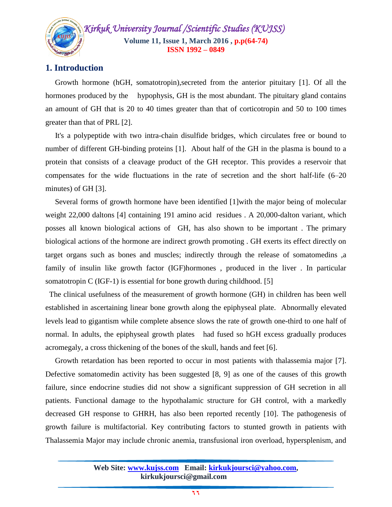*Kirkuk University Journal /Scientific Studies (KUJSS)*  **Volume 11, Issue 1, March 2016 , p.p(64-74) ISSN 1992 – 0849**

# **1. Introduction**

 Growth hormone (hGH, somatotropin),secreted from the anterior pituitary [1]. Of all the hormones produced by the hypophysis, GH is the most abundant. The pituitary gland contains an amount of GH that is 20 to 40 times greater than that of corticotropin and 50 to 100 times greater than that of PRL [2].

 It's a polypeptide with two intra-chain disulfide bridges, which circulates free or bound to number of different GH-binding proteins [1]. About half of the GH in the plasma is bound to a protein that consists of a cleavage product of the GH receptor. This provides a reservoir that compensates for the wide fluctuations in the rate of secretion and the short half-life (6–20 minutes) of GH [3].

 Several forms of growth hormone have been identified [1]with the major being of molecular weight 22,000 daltons [4] containing 191 amino acid residues . A 20,000-dalton variant, which posses all known biological actions of GH, has also shown to be important . The primary biological actions of the hormone are indirect growth promoting . GH exerts its effect directly on target organs such as bones and muscles; indirectly through the release of somatomedins ,a family of insulin like growth factor (IGF)hormones , produced in the liver . In particular somatotropin C (IGF-1) is essential for bone growth during childhood. [5]

 The clinical usefulness of the measurement of growth hormone (GH) in children has been well established in ascertaining linear bone growth along the epiphyseal plate. Abnormally elevated levels lead to gigantism while complete absence slows the rate of growth one-third to one half of normal. In adults, the epiphyseal growth plates had fused so hGH excess gradually produces acromegaly, a cross thickening of the bones of the skull, hands and feet [6].

 Growth retardation has been reported to occur in most patients with thalassemia major [7]. Defective somatomedin activity has been suggested [8, 9] as one of the causes of this growth failure, since endocrine studies did not show a significant suppression of GH secretion in all patients. Functional damage to the hypothalamic structure for GH control, with a markedly decreased GH response to GHRH, has also been reported recently [10]. The pathogenesis of growth failure is multifactorial. Key contributing factors to stunted growth in patients with Thalassemia Major may include chronic anemia, transfusional iron overload, hypersplenism, and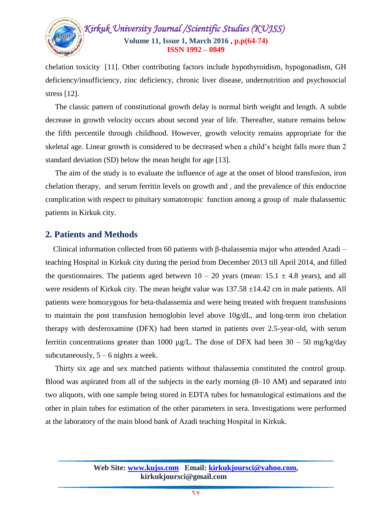

chelation toxicity [11]. Other contributing factors include hypothyroidism, hypogonadism, GH deficiency/insufficiency, zinc deficiency, chronic liver disease, undernutrition and psychosocial stress [12].

 The classic pattern of constitutional growth delay is normal birth weight and length. A subtle decrease in growth velocity occurs about second year of life. Thereafter, stature remains below the fifth percentile through childhood. However, growth velocity remains appropriate for the skeletal age. Linear growth is considered to be decreased when a child's height falls more than 2 standard deviation (SD) below the mean height for age [13].

 The aim of the study is to evaluate the influence of age at the onset of blood transfusion, iron chelation therapy, and serum ferritin levels on growth and , and the prevalence of this endocrine complication with respect to pituitary somatotropic function among a group of male thalassemic patients in Kirkuk city.

### **2. Patients and Methods**

Clinical information collected from 60 patients with β-thalassemia major who attended Azadi – teaching Hospital in Kirkuk city during the period from December 2013 till April 2014, and filled the questionnaires. The patients aged between  $10 - 20$  years (mean:  $15.1 \pm 4.8$  years), and all were residents of Kirkuk city. The mean height value was  $137.58 \pm 14.42$  cm in male patients. All patients were homozygous for beta-thalassemia and were being treated with frequent transfusions to maintain the post transfusion hemoglobin level above 10g/dL, and long-term iron chelation therapy with desferoxamine (DFX) had been started in patients over 2.5-year-old, with serum ferritin concentrations greater than 1000  $\mu$ g/L. The dose of DFX had been 30 – 50 mg/kg/day subcutaneously,  $5 - 6$  nights a week.

 Thirty six age and sex matched patients without thalassemia constituted the control group. Blood was aspirated from all of the subjects in the early morning (8–10 AM) and separated into two aliquots, with one sample being stored in EDTA tubes for hematological estimations and the other in plain tubes for estimation of the other parameters in sera. Investigations were performed at the laboratory of the main blood bank of Azadi teaching Hospital in Kirkuk.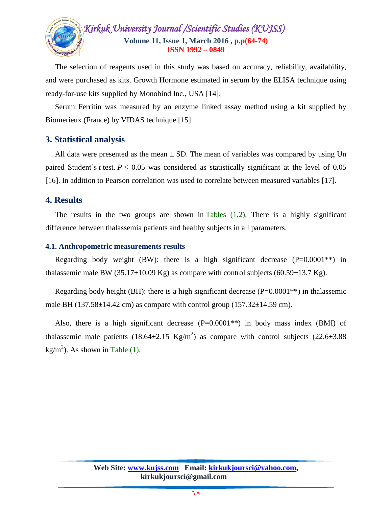

 The selection of reagents used in this study was based on accuracy, reliability, availability, and were purchased as kits. Growth Hormone estimated in serum by the ELISA technique using ready-for-use kits supplied by Monobind Inc., USA [14].

 Serum Ferritin was measured by an enzyme linked assay method using a kit supplied by Biomerieux (France) by VIDAS technique [15].

## **3. Statistical analysis**

All data were presented as the mean  $\pm$  SD. The mean of variables was compared by using Un paired Student's *t* test.  $P < 0.05$  was considered as statistically significant at the level of 0.05 [16]. In addition to Pearson correlation was used to correlate between measured variables [17].

## **4. Results**

The results in the two groups are shown in Tables  $(1,2)$ . There is a highly significant difference between thalassemia patients and healthy subjects in all parameters.

#### **4.1. Anthropometric measurements results**

Regarding body weight (BW): there is a high significant decrease  $(P=0.0001**)$  in thalassemic male BW (35.17 $\pm$ 10.09 Kg) as compare with control subjects (60.59 $\pm$ 13.7 Kg).

Regarding body height (BH): there is a high significant decrease  $(P=0.0001**)$  in thalassemic male BH  $(137.58\pm14.42 \text{ cm})$  as compare with control group  $(157.32\pm14.59 \text{ cm})$ .

Also, there is a high significant decrease  $(P=0.0001**)$  in body mass index (BMI) of thalassemic male patients  $(18.64 \pm 2.15 \text{ Kg/m}^2)$  as compare with control subjects  $(22.6 \pm 3.88 \text{ m})$  $\text{kg/m}^2$ ). As shown in Table (1).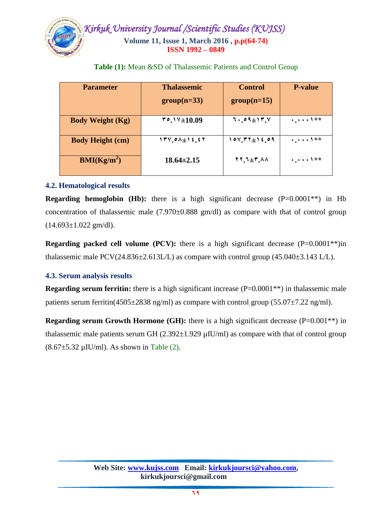

| <b>Parameter</b>                | <b>Thalassemic</b><br>$group(n=33)$ | <b>Control</b><br>$group(n=15)$ | <b>P-value</b>         |
|---------------------------------|-------------------------------------|---------------------------------|------------------------|
| <b>Body Weight (Kg)</b>         | $"°.$ $\sqrt{+10.09}$               | $1.09 \pm 17.4$                 | 4.111                  |
| <b>Body Height (cm)</b>         | $174.01 + 12.57$                    | $101.777 \pm 12.09$             | $\ddots \ddots \ddots$ |
| $\mathbf{BMI}(\mathbf{Kg/m}^2)$ | $18.64 \pm 2.15$                    | $11.1 + 7.11$                   |                        |

**Table (1):** Mean &SD of Thalassemic Patients and Control Group

## **4.2. Hematological results**

**Regarding hemoglobin (Hb):** there is a high significant decrease (P=0.0001<sup>\*\*</sup>) in Hb concentration of thalassemic male  $(7.970\pm0.888 \text{ gm/dl})$  as compare with that of control group  $(14.693 \pm 1.022$  gm/dl).

**Regarding packed cell volume (PCV):** there is a high significant decrease  $(P=0.0001**)$ in thalassemic male  $PCV(24.836\pm2.613L/L)$  as compare with control group  $(45.040\pm3.143 \text{ L/L})$ .

## **4.3. Serum analysis results**

**Regarding serum ferritin:** there is a high significant increase (P=0.0001<sup>\*\*</sup>) in thalassemic male patients serum ferritin(4505 $\pm$ 2838 ng/ml) as compare with control group (55.07 $\pm$ 7.22 ng/ml).

**Regarding serum Growth Hormone (GH):** there is a high significant decrease  $(P=0.001**)$  in thalassemic male patients serum GH  $(2.392 \pm 1.929 \,\mu\text{IU/ml})$  as compare with that of control group  $(8.67 \pm 5.32 \,\mu\text{IU/ml})$ . As shown in Table (2).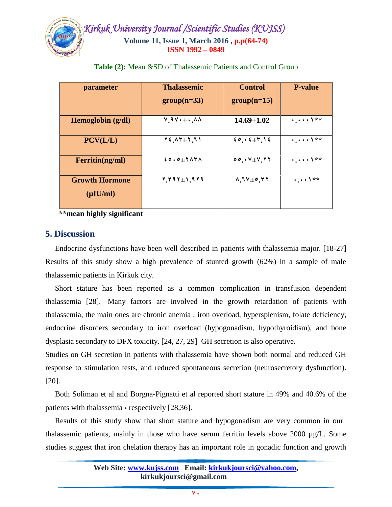

| parameter                               | <b>Thalassemic</b>                                   | <b>Control</b>                | <b>P-value</b>     |
|-----------------------------------------|------------------------------------------------------|-------------------------------|--------------------|
|                                         | $group(n=33)$                                        | $group(n=15)$                 |                    |
| Hemoglobin (g/dl)                       | $V.9V \cdot \pm \cdot .0A$                           | $14.69 \pm 1.02$              | 4.111              |
| PCV(L/L)                                | $Y \in \Lambda Y + Y, 11$                            | ${20.4111}$                   | $\frac{1}{2}$   ** |
| Ferritin(ng/ml)                         | $\epsilon \circ . \circ \pm \tau \wedge \tau \wedge$ | 0.0.144.77                    | $\cdots$           |
| <b>Growth Hormone</b><br>$(\mu I U/ml)$ | $1.791 \pm 1.919$                                    | $\lambda$ , $V + 0$ , $V$ $Y$ | $\cdots$           |

**Table (2):** Mean &SD of Thalassemic Patients and Control Group

 **\*\*mean highly significant**

## **5. Discussion**

 Endocrine dysfunctions have been well described in patients with thalassemia major. [18-27] Results of this study show a high prevalence of stunted growth (62%) in a sample of male thalassemic patients in Kirkuk city.

 Short stature has been reported as a common complication in transfusion dependent thalassemia [28]. Many factors are involved in the growth retardation of patients with thalassemia, the main ones are chronic anemia , iron overload, hypersplenism, folate deficiency, endocrine disorders secondary to iron overload (hypogonadism, hypothyroidism), and bone dysplasia secondary to DFX toxicity. [24, 27, 29] GH secretion is also operative.

Studies on GH secretion in patients with thalassemia have shown both normal and reduced GH response to stimulation tests, and reduced spontaneous secretion (neurosecretory dysfunction). [20].

 Both Soliman et al and Borgna-Pignatti et al reported short stature in 49% and 40.6% of the patients with thalassemia  $\cdot$  respectively [28,36].

 Results of this study show that short stature and hypogonadism are very common in our thalassemic patients, mainly in those who have serum ferritin levels above 2000  $\mu$ g/L. Some studies suggest that iron chelation therapy has an important role in gonadic function and growth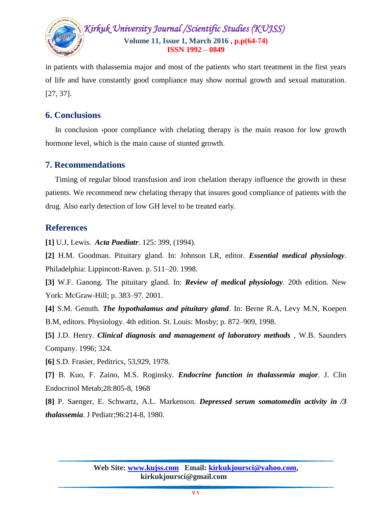

in patients with thalassemia major and most of the patients who start treatment in the first years of life and have constantly good compliance may show normal growth and sexual maturation. [27, 37].

## **6. Conclusions**

In conclusion  $\epsilon$  poor compliance with chelating therapy is the main reason for low growth hormone level, which is the main cause of stunted growth.

## **7. Recommendations**

 Timing of regular blood transfusion and iron chelation therapy influence the growth in these patients. We recommend new chelating therapy that insures good compliance of patients with the drug. Also early detection of low GH level to be treated early.

## **References**

**[1]** U.J, Lewis. *Acta Paediatr*. 125: 399, (1994).

**[2]** H.M. Goodman. Pituitary gland. In: Johnson LR, editor. *Essential medical physiology*. Philadelphia: Lippincott-Raven. p. 511–20. 1998.

**[3]** W.F. Ganong. The pituitary gland. In: *Review of medical physiology*. 20th edition. New York: McGraw-Hill; p. 383–97. 2001.

**[4]** S.M. Genuth. *The hypothalamus and pituitary gland*. In: Berne R.A, Levy M.N, Koepen B.M, editors. Physiology. 4th edition. St. Louis: Mosby; p. 872–909, 1998.

**[5]** J.D. Henry. *Clinical diagnosis and management of laboratory methods* , W.B. Saunders Company. 1996; 324.

**[6]** S.D. Frasier, Peditrics, 53,929, 1978.

**[7]** B. Kuo, F. Zaino, M.S. Roginsky. *Endocrine function in thalassemia major*. J. Clin Endocrinol Metab;28:805-8, 1968

**[8]** P. Saenger, E. Schwartz, A.L. Markenson. *Depressed serum somatomedin activity in /3 thalassemia*. J Pediatr;96:214-8, 1980.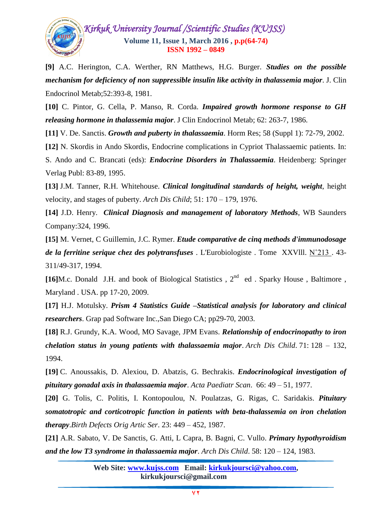

**[9]** A.C. Herington, C.A. Werther, RN Matthews, H.G. Burger. *Studies on the possible mechanism for deficiency of non suppressible insulin like activity in thalassemia major*. J. Clin Endocrinol Metab;52:393-8, 1981.

**[10]** C. Pintor, G. Cella, P. Manso, R. Corda. *Impaired growth hormone response to GH releasing hormone in thalassemia major*. J Clin Endocrinol Metab; 62: 263-7, 1986.

**[11]** V. De. Sanctis. *Growth and puberty in thalassaemia*. Horm Res; 58 (Suppl 1): 72-79, 2002.

**[12]** N. Skordis in Ando Skordis, Endocrine complications in Cypriot Thalassaemic patients. In: S. Ando and C. Brancati (eds): *Endocrine Disorders in Thalassaemia*. Heidenberg: Springer Verlag Publ: 83-89, 1995.

**[13]** J.M. Tanner, R.H. Whitehouse. *Clinical longitudinal standards of height, weight*, height velocity, and stages of puberty. *Arch Dis Child*; 51: 170 – 179, 1976.

**[14]** J.D. Henry. *Clinical Diagnosis and management of laboratory Methods*, WB Saunders Company:324, 1996.

**[15]** M. Vernet, C Guillemin, J.C. Rymer. *Etude comparative de cinq methods d'immunodosage de la ferritine serique chez des polytransfuses* . L'Eurobiologiste . Tome XXVlll. N˚213 . 43- 311/49-317, 1994.

[16]M.c. Donald J.H. and book of Biological Statistics, 2<sup>nd</sup> ed. Sparky House, Baltimore, Maryland . USA. pp 17-20, 2009.

**[17]** H.J. Motulsky. *Prism 4 Statistics Guide –Statistical analysis for laboratory and clinical researchers*. Grap pad Software Inc.,San Diego CA; pp29-70, 2003.

**[18]** R.J. Grundy, K.A. Wood, MO Savage, JPM Evans. *Relationship of endocrinopathy to iron chelation status in young patients with thalassaemia major*. *Arch Dis Child*. 71: 128 – 132, 1994.

**[19]** C. Anoussakis, D. Alexiou, D. Abatzis, G. Bechrakis. *Endocrinological investigation of pituitary gonadal axis in thalassaemia major*. *Acta Paediatr Scan*. 66: 49 – 51, 1977.

**[20]** G. Tolis, C. Politis, I. Kontopoulou, N. Poulatzas, G. Rigas, C. Saridakis. *Pituitary somatotropic and corticotropic function in patients with beta-thalassemia on iron chelation therapy*.*Birth Defects Orig Artic Ser*. 23: 449 – 452, 1987.

**[21]** A.R. Sabato, V. De Sanctis, G. Atti, L Capra, B. Bagni, C. Vullo. *Primary hypothyroidism and the low T3 syndrome in thalassaemia major*. *Arch Dis Child*. 58: 120 – 124, 1983.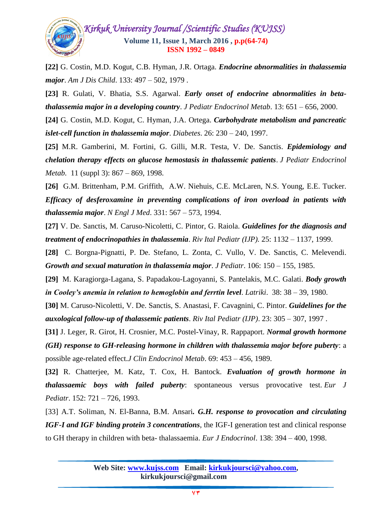

**[22]** G. Costin, M.D. Kogut, C.B. Hyman, J.R. Ortaga. *Endocrine abnormalities in thalassemia major*. *Am J Dis Child*. 133: 497 – 502, 1979 .

**[23]** R. Gulati, V. Bhatia, S.S. Agarwal. *Early onset of endocrine abnormalities in betathalassemia major in a developing country*. *J Pediatr Endocrinol Metab*. 13: 651 – 656, 2000.

**[24]** G. Costin, M.D. Kogut, C. Hyman, J.A. Ortega. *Carbohydrate metabolism and pancreatic islet-cell function in thalassemia major*. *Diabetes*. 26: 230 – 240, 1997.

**[25]** M.R. Gamberini, M. Fortini, G. Gilli, M.R. Testa, V. De. Sanctis. *Epidemiology and chelation therapy effects on glucose hemostasis in thalassemic patients*. *J Pediatr Endocrinol Metab.* 11 (suppl 3): 867 – 869, 1998.

**[26]** G.M. Brittenham, P.M. Griffith, A.W. Niehuis, C.E. McLaren, N.S. Young, E.E. Tucker. *Efficacy of desferoxamine in preventing complications of iron overload in patients with thalassemia major*. *N Engl J Med*. 331: 567 – 573, 1994.

**[27]** V. De. Sanctis, M. Caruso-Nicoletti, C. Pintor, G. Raiola. *Guidelines for the diagnosis and treatment of endocrinopathies in thalassemia*. *Riv Ital Pediatr (IJP).* 25: 1132 – 1137, 1999.

**[28]** C. Borgna-Pignatti, P. De. Stefano, L. Zonta, C. Vullo, V. De. Sanctis, C. Melevendi. *Growth and sexual maturation in thalassemia major*. *J Pediatr*. 106: 150 – 155, 1985.

**[29]** M. Karagiorga-Lagana, S. Papadakou-Lagoyanni, S. Pantelakis, M.C. Galati. *Body growth in Cooley's anemia in relation to hemoglobin and ferrtin level*. *Latriki*. 38: 38 – 39, 1980.

**[30]** M. Caruso-Nicoletti, V. De. Sanctis, S. Anastasi, F. Cavagnini, C. Pintor. *Guidelines for the auxological follow-up of thalassemic patients*. *Riv Ital Pediatr (IJP)*. 23: 305 – 307, 1997 .

**[31]** J. Leger, R. Girot, H. Crosnier, M.C. Postel-Vinay, R. Rappaport. *Normal growth hormone (GH) response to GH-releasing hormone in children with thalassemia major before puberty*: a possible age-related effect.*J Clin Endocrinol Metab*. 69: 453 – 456, 1989.

**[32]** R. Chatterjee, M. Katz, T. Cox, H. Bantock. *Evaluation of growth hormone in thalassaemic boys with failed puberty*: spontaneous versus provocative test. *Eur J Pediatr*. 152: 721 – 726, 1993.

[33] A.T. Soliman, N. El-Banna, B.M. Ansari*. G.H. response to provocation and circulating IGF-I and IGF binding protein 3 concentrations*, the IGF-I generation test and clinical response to GH therapy in children with beta- thalassaemia. *Eur J Endocrinol*. 138: 394 – 400, 1998.